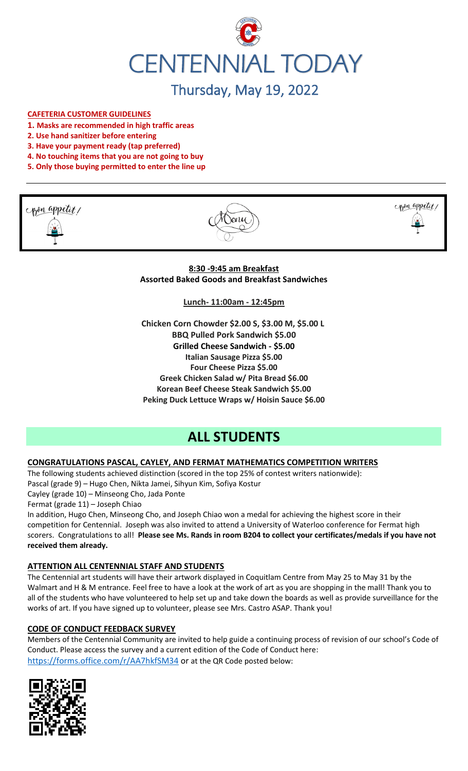

# Thursday, May 19, 2022

#### **CAFETERIA CUSTOMER GUIDELINES**

- **1. Masks are recommended in high traffic areas**
- **2. Use hand sanitizer before entering**
- **3. Have your payment ready (tap preferred)**
- **4. No touching items that you are not going to buy**
- **5. Only those buying permitted to enter the line up**







**8:30 -9:45 am Breakfast Assorted Baked Goods and Breakfast Sandwiches**

**Lunch- 11:00am - 12:45pm**

**Chicken Corn Chowder \$2.00 S, \$3.00 M, \$5.00 L BBQ Pulled Pork Sandwich \$5.00 Grilled Cheese Sandwich - \$5.00 Italian Sausage Pizza \$5.00 Four Cheese Pizza \$5.00 Greek Chicken Salad w/ Pita Bread \$6.00 Korean Beef Cheese Steak Sandwich \$5.00 Peking Duck Lettuce Wraps w/ Hoisin Sauce \$6.00**

# **ALL STUDENTS**

# **CONGRATULATIONS PASCAL, CAYLEY, AND FERMAT MATHEMATICS COMPETITION WRITERS**

The following students achieved distinction (scored in the top 25% of contest writers nationwide): Pascal (grade 9) – Hugo Chen, Nikta Jamei, Sihyun Kim, Sofiya Kostur Cayley (grade 10) – Minseong Cho, Jada Ponte Fermat (grade 11) – Joseph Chiao In addition, Hugo Chen, Minseong Cho, and Joseph Chiao won a medal for achieving the highest score in their

competition for Centennial. Joseph was also invited to attend a University of Waterloo conference for Fermat high scorers. Congratulations to all! **Please see Ms. Rands in room B204 to collect your certificates/medals if you have not received them already.**

# **ATTENTION ALL CENTENNIAL STAFF AND STUDENTS**

The Centennial art students will have their artwork displayed in Coquitlam Centre from May 25 to May 31 by the Walmart and H & M entrance. Feel free to have a look at the work of art as you are shopping in the mall! Thank you to all of the students who have volunteered to help set up and take down the boards as well as provide surveillance for the works of art. If you have signed up to volunteer, please see Mrs. Castro ASAP. Thank you!

# **CODE OF CONDUCT FEEDBACK SURVEY**

Members of the Centennial Community are invited to help guide a continuing process of revision of our school's Code of Conduct. Please access the survey and a current edition of the Code of Conduct here: <https://forms.office.com/r/AA7hkfSM34> or at the QR Code posted below:

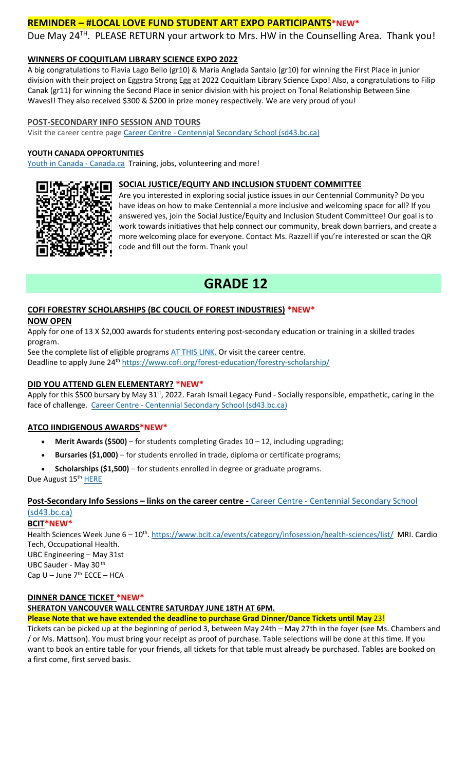# **REMINDER – #LOCAL LOVE FUND STUDENT ART EXPO PARTICIPANTS\*NEW\***

Due May 24<sup>TH</sup>. PLEASE RETURN your artwork to Mrs. HW in the Counselling Area. Thank you!

# **WINNERS OF COQUITLAM LIBRARY SCIENCE EXPO 2022**

A big congratulations to Flavia Lago Bello (gr10) & Maria Anglada Santalo (gr10) for winning the First Place in junior division with their project on Eggstra Strong Egg at 2022 Coquitlam Library Science Expo! Also, a congratulations to Filip Canak (gr11) for winning the Second Place in senior division with his project on Tonal Relationship Between Sine Waves!! They also received \$300 & \$200 in prize money respectively. We are very proud of you!

#### **POST-SECONDARY INFO SESSION AND TOURS**

Visit the career centre page Career Centre - [Centennial Secondary School \(sd43.bc.ca\)](https://www.sd43.bc.ca/school/centennial/ProgramsServices/CareerCentre/postsecondary/Pages/default.aspx#/=)

#### **YOUTH CANADA OPPORTUNITIES**

[Youth in Canada -](https://www.canada.ca/en/services/youth.html) Canada.ca Training, jobs, volunteering and more!

#### **SOCIAL JUSTICE/EQUITY AND INCLUSION STUDENT COMMITTEE**



Are you interested in exploring social justice issues in our Centennial Community? Do you have ideas on how to make Centennial a more inclusive and welcoming space for all? If you answered yes, join the Social Justice/Equity and Inclusion Student Committee! Our goal is to work towards initiatives that help connect our community, break down barriers, and create a more welcoming place for everyone. Contact Ms. Razzell if you're interested or scan the QR code and fill out the form. Thank you!

# **GRADE 12**

# **COFI FORESTRY SCHOLARSHIPS (BC COUCIL OF FOREST INDUSTRIES) \*NEW\***

#### **NOW OPEN**

Apply for one of 13 X \$2,000 awards for students entering post-secondary education or training in a skilled trades program.

See the complete list of eligible program[s AT THIS LINK.](https://www.cofi.org/wp-content/uploads/2022-Scholarship-Document_Final.pdf) Or visit the career centre. Deadline to apply June 24<sup>th</sup> <https://www.cofi.org/forest-education/forestry-scholarship/>

#### **DID YOU ATTEND GLEN ELEMENTARY? \*NEW\***

Apply for this \$500 bursary by May 31st, 2022. Farah Ismail Legacy Fund - Socially responsible, empathetic, caring in the face of challenge. Career Centre - [Centennial Secondary School \(sd43.bc.ca\)](https://www.sd43.bc.ca/school/centennial/ProgramsServices/CareerCentre/financeawards/Pages/default.aspx#/=)

# **ATCO IINDIGENOUS AWARDS\*NEW\***

- **Merit Awards (\$500)** for students completing Grades 10 12, including upgrading;
- **Bursaries (\$1,000)** for students enrolled in trade, diploma or certificate programs;
- **Scholarships (\$1,500)** for students enrolled in degree or graduate programs.

Due August 15<sup>th</sup> [HERE](https://www.atco.com/en-ca/our-commitment/partnerships-indigenous-peoples/indigenous-education-programs.html#:~:text=The%20Awards%2cin%20degree%20or%20graduate%20programs.)

# **Post-Secondary Info Sessions – links on the career centre -** Career Centre - [Centennial Secondary School](https://www.sd43.bc.ca/school/centennial/ProgramsServices/CareerCentre/postsecondary/Pages/default.aspx#/=)  [\(sd43.bc.ca\)](https://www.sd43.bc.ca/school/centennial/ProgramsServices/CareerCentre/postsecondary/Pages/default.aspx#/=)

# **BCIT\*NEW\***

Health Sciences Week June 6 – 10<sup>th</sup>.<https://www.bcit.ca/events/category/infosession/health-sciences/list/> MRI. Cardio Tech, Occupational Health. UBC Engineering – May 31st UBC Sauder - May 30<sup>th</sup> Cap  $U -$  June  $7<sup>th</sup>$  ECCE – HCA

#### **DINNER DANCE TICKET \*NEW\***

**SHERATON VANCOUVER WALL CENTRE SATURDAY JUNE 18TH AT 6PM.**

**Please Note that we have extended the deadline to purchase Grad Dinner/Dance Tickets until May** 23!

Tickets can be picked up at the beginning of period 3, between May 24th – May 27th in the foyer (see Ms. Chambers and / or Ms. Mattson). You must bring your receipt as proof of purchase. Table selections will be done at this time. If you want to book an entire table for your friends, all tickets for that table must already be purchased. Tables are booked on a first come, first served basis.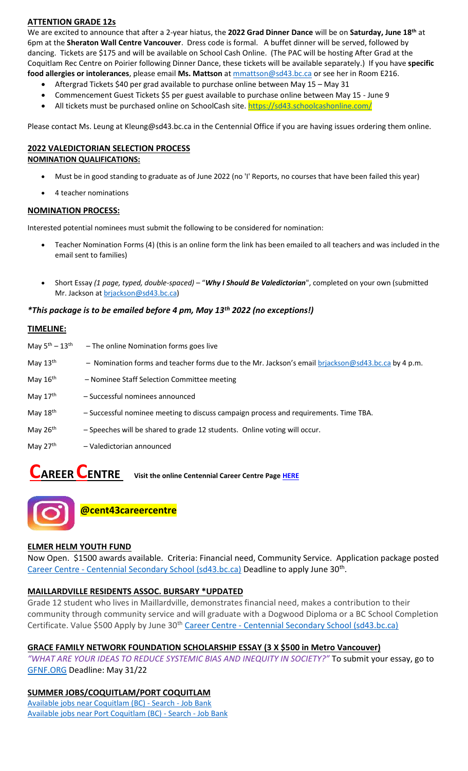# **ATTENTION GRADE 12s**

We are excited to announce that after a 2-year hiatus, the **2022 Grad Dinner Dance** will be on **Saturday, June 18th** at 6pm at the **Sheraton Wall Centre Vancouver**. Dress code is formal. A buffet dinner will be served, followed by dancing. Tickets are \$175 and will be available on School Cash Online. (The PAC will be hosting After Grad at the Coquitlam Rec Centre on Poirier following Dinner Dance, these tickets will be available separately.) If you have **specific food allergies or intolerances**, please email **Ms. Mattson** at [mmattson@sd43.bc.ca](mailto:mmattson@sd43.bc.ca) or see her in Room E216.

- Aftergrad Tickets \$40 per grad available to purchase online between May 15 May 31
- Commencement Guest Tickets \$5 per guest available to purchase online between May 15 June 9
- All tickets must be purchased online on SchoolCash site. <https://sd43.schoolcashonline.com/>

Please contact Ms. Leung at [Kleung@sd43.bc.ca](mailto:Kleung@sd43.bc.ca) in the Centennial Office if you are having issues ordering them online.

#### **2022 VALEDICTORIAN SELECTION PROCESS NOMINATION QUALIFICATIONS:**

- Must be in good standing to graduate as of June 2022 (no 'I' Reports, no courses that have been failed this year)
- 4 teacher nominations

#### **NOMINATION PROCESS:**

Interested potential nominees must submit the following to be considered for nomination:

- Teacher Nomination Forms (4) (this is an online form the link has been emailed to all teachers and was included in the email sent to families)
- Short Essay *(1 page, typed, double-spaced)* "*Why I Should Be Valedictorian*", completed on your own (submitted Mr. Jackson at [brjackson@sd43.bc.ca\)](mailto:bking@sd43.bc.ca)

#### *\*This package is to be emailed before 4 pm, May 13th 2022 (no exceptions!)*

#### **TIMELINE:**

| May $5^{\text{th}} - 13^{\text{th}}$ | - The online Nomination forms goes live                                                            |
|--------------------------------------|----------------------------------------------------------------------------------------------------|
| May $13th$                           | - Nomination forms and teacher forms due to the Mr. Jackson's email brjackson@sd43.bc.ca by 4 p.m. |
| May 16th                             | - Nominee Staff Selection Committee meeting                                                        |
| May 17th                             | - Successful nominees announced                                                                    |
| May 18th                             | - Successful nominee meeting to discuss campaign process and requirements. Time TBA.               |
| May $26th$                           | - Speeches will be shared to grade 12 students. Online voting will occur.                          |
| May 27th                             | - Valedictorian announced                                                                          |
|                                      |                                                                                                    |

# **CAREER CENTRE Visit the online Centennial Career Centre Pag[e HERE](https://www.sd43.bc.ca/school/centennial/ProgramsServices/CareerCentre/experiences/Pages/default.aspx#/=)**



# **ELMER HELM YOUTH FUND**

Now Open. \$1500 awards available. Criteria: Financial need, Community Service. Application package posted Career Centre - [Centennial Secondary School \(sd43.bc.ca\)](https://www.sd43.bc.ca/school/centennial/ProgramsServices/CareerCentre/financeawards/Pages/default.aspx?InitialTabId=Ribbon%2ERead&VisibilityContext=WSSTabPersistence#/=#InplviewHash02f87063-69d3-4710-8d10-63ddea64e857=) Deadline to apply June 30<sup>th</sup>.

# **MAILLARDVILLE RESIDENTS ASSOC. BURSARY \*UPDATED**

Grade 12 student who lives in Maillardville, demonstrates financial need, makes a contribution to their community through community service and will graduate with a Dogwood Diploma or a BC School Completion Certificate. Value \$500 Apply by June 30<sup>th</sup> Career Centre - [Centennial Secondary School \(sd43.bc.ca\)](https://www.sd43.bc.ca/school/centennial/ProgramsServices/CareerCentre/financeawards/Pages/default.aspx?login=-73147025#/=)

# **GRACE FAMILY NETWORK FOUNDATION SCHOLARSHIP ESSAY (3 X \$500 in Metro Vancouver)**

*"WHAT ARE YOUR IDEAS TO REDUCE SYSTEMIC BIAS AND INEQUITY IN SOCIETY?"* To submit your essay, go to [GFNF.ORG](http://www.gfnf.org/) Deadline: May 31/22

# **SUMMER JOBS/COQUITLAM/PORT COQUITLAM**

[Available jobs near Coquitlam \(BC\) -](https://www.jobbank.gc.ca/jobsearch/jobsearch?fsrc=21&searchstring=&locationstring=COQUITLAM&mid=&button.submit=Search) Search - Job Bank [Available jobs near Port Coquitlam \(BC\) -](https://www.jobbank.gc.ca/jobsearch/jobsearch?searchstring=&locationstring=Port+Coquitlam%2C+BC&fsrc=21) Search - Job Bank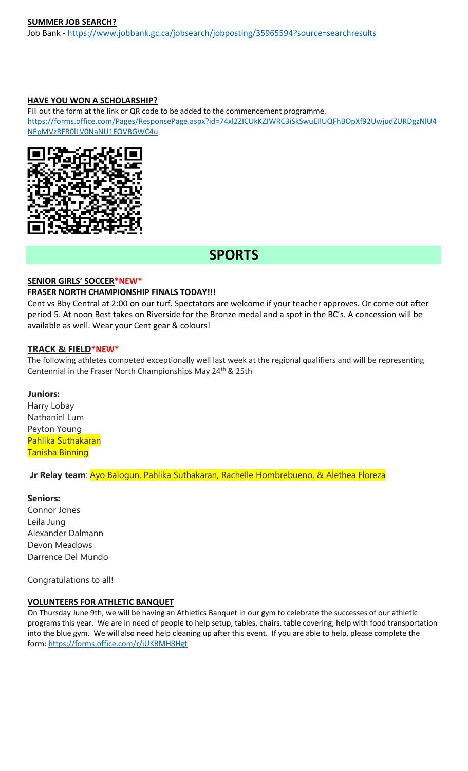#### **SUMMER JOB SEARCH?**

Job Bank - <https://www.jobbank.gc.ca/jobsearch/jobposting/35965594?source=searchresults>

#### **HAVE YOU WON A SCHOLARSHIP?**

Fill out the form at the link or QR code to be added to the commencement programme. [https://forms.office.com/Pages/ResponsePage.aspx?id=74xl2ZICUkKZJWRC3iSkSwuEIlUQFhBOpXf92UwjudZURDgzNlU4](https://forms.office.com/Pages/ResponsePage.aspx?id=74xl2ZICUkKZJWRC3iSkSwuEIlUQFhBOpXf92UwjudZURDgzNlU4NEpMVzRFR0lLV0NaNU1EOVBGWC4u) [NEpMVzRFR0lLV0NaNU1EOVBGWC4u](https://forms.office.com/Pages/ResponsePage.aspx?id=74xl2ZICUkKZJWRC3iSkSwuEIlUQFhBOpXf92UwjudZURDgzNlU4NEpMVzRFR0lLV0NaNU1EOVBGWC4u)



# **SPORTS**

# **SENIOR GIRLS' SOCCER\*NEW\***

#### **FRASER NORTH CHAMPIONSHIP FINALS TODAY!!!**

Cent vs Bby Central at 2:00 on our turf. Spectators are welcome if your teacher approves. Or come out after period 5. At noon Best takes on Riverside for the Bronze medal and a spot in the BC's. A concession will be available as well. Wear your Cent gear & colours!

#### **TRACK & FIELD\*NEW\***

The following athletes competed exceptionally well last week at the regional qualifiers and will be representing Centennial in the Fraser North Championships May 24<sup>th</sup> & 25th

#### **Juniors:**

Harry Lobay Nathaniel Lum Peyton Young Pahlika Suthakaran Tanisha Binning

**Jr Relay team**: Ayo Balogun, Pahlika Suthakaran, Rachelle Hombrebueno, & Alethea Floreza

#### **Seniors:**

Connor Jones Leila Jung Alexander Dalmann Devon Meadows Darrence Del Mundo

Congratulations to all!

#### **VOLUNTEERS FOR ATHLETIC BANQUET**

On Thursday June 9th, we will be having an Athletics Banquet in our gym to celebrate the successes of our athletic programs this year. We are in need of people to help setup, tables, chairs, table covering, help with food transportation into the blue gym. We will also need help cleaning up after this event. If you are able to help, please complete the form:<https://forms.office.com/r/iUKBMH8Hgt>